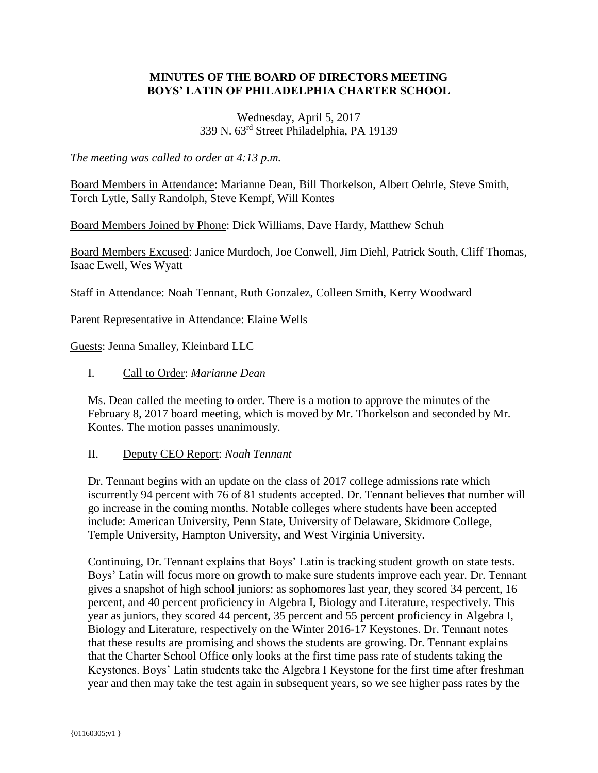# **MINUTES OF THE BOARD OF DIRECTORS MEETING BOYS' LATIN OF PHILADELPHIA CHARTER SCHOOL**

## Wednesday, April 5, 2017 339 N. 63rd Street Philadelphia, PA 19139

*The meeting was called to order at 4:13 p.m.*

Board Members in Attendance: Marianne Dean, Bill Thorkelson, Albert Oehrle, Steve Smith, Torch Lytle, Sally Randolph, Steve Kempf, Will Kontes

Board Members Joined by Phone: Dick Williams, Dave Hardy, Matthew Schuh

Board Members Excused: Janice Murdoch, Joe Conwell, Jim Diehl, Patrick South, Cliff Thomas, Isaac Ewell, Wes Wyatt

Staff in Attendance: Noah Tennant, Ruth Gonzalez, Colleen Smith, Kerry Woodward

Parent Representative in Attendance: Elaine Wells

Guests: Jenna Smalley, Kleinbard LLC

I. Call to Order: *Marianne Dean*

Ms. Dean called the meeting to order. There is a motion to approve the minutes of the February 8, 2017 board meeting, which is moved by Mr. Thorkelson and seconded by Mr. Kontes. The motion passes unanimously.

## II. Deputy CEO Report: *Noah Tennant*

Dr. Tennant begins with an update on the class of 2017 college admissions rate which iscurrently 94 percent with 76 of 81 students accepted. Dr. Tennant believes that number will go increase in the coming months. Notable colleges where students have been accepted include: American University, Penn State, University of Delaware, Skidmore College, Temple University, Hampton University, and West Virginia University.

Continuing, Dr. Tennant explains that Boys' Latin is tracking student growth on state tests. Boys' Latin will focus more on growth to make sure students improve each year. Dr. Tennant gives a snapshot of high school juniors: as sophomores last year, they scored 34 percent, 16 percent, and 40 percent proficiency in Algebra I, Biology and Literature, respectively. This year as juniors, they scored 44 percent, 35 percent and 55 percent proficiency in Algebra I, Biology and Literature, respectively on the Winter 2016-17 Keystones. Dr. Tennant notes that these results are promising and shows the students are growing. Dr. Tennant explains that the Charter School Office only looks at the first time pass rate of students taking the Keystones. Boys' Latin students take the Algebra I Keystone for the first time after freshman year and then may take the test again in subsequent years, so we see higher pass rates by the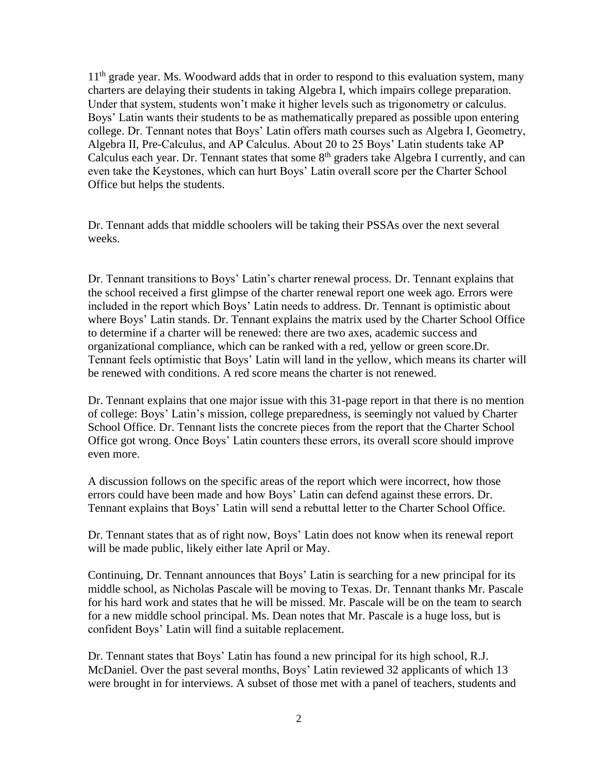$11<sup>th</sup>$  grade year. Ms. Woodward adds that in order to respond to this evaluation system, many charters are delaying their students in taking Algebra I, which impairs college preparation. Under that system, students won't make it higher levels such as trigonometry or calculus. Boys' Latin wants their students to be as mathematically prepared as possible upon entering college. Dr. Tennant notes that Boys' Latin offers math courses such as Algebra I, Geometry, Algebra II, Pre-Calculus, and AP Calculus. About 20 to 25 Boys' Latin students take AP Calculus each year. Dr. Tennant states that some  $8<sup>th</sup>$  graders take Algebra I currently, and can even take the Keystones, which can hurt Boys' Latin overall score per the Charter School Office but helps the students.

Dr. Tennant adds that middle schoolers will be taking their PSSAs over the next several weeks.

Dr. Tennant transitions to Boys' Latin's charter renewal process. Dr. Tennant explains that the school received a first glimpse of the charter renewal report one week ago. Errors were included in the report which Boys' Latin needs to address. Dr. Tennant is optimistic about where Boys' Latin stands. Dr. Tennant explains the matrix used by the Charter School Office to determine if a charter will be renewed: there are two axes, academic success and organizational compliance, which can be ranked with a red, yellow or green score.Dr. Tennant feels optimistic that Boys' Latin will land in the yellow, which means its charter will be renewed with conditions. A red score means the charter is not renewed.

Dr. Tennant explains that one major issue with this 31-page report in that there is no mention of college: Boys' Latin's mission, college preparedness, is seemingly not valued by Charter School Office. Dr. Tennant lists the concrete pieces from the report that the Charter School Office got wrong. Once Boys' Latin counters these errors, its overall score should improve even more.

A discussion follows on the specific areas of the report which were incorrect, how those errors could have been made and how Boys' Latin can defend against these errors. Dr. Tennant explains that Boys' Latin will send a rebuttal letter to the Charter School Office.

Dr. Tennant states that as of right now, Boys' Latin does not know when its renewal report will be made public, likely either late April or May.

Continuing, Dr. Tennant announces that Boys' Latin is searching for a new principal for its middle school, as Nicholas Pascale will be moving to Texas. Dr. Tennant thanks Mr. Pascale for his hard work and states that he will be missed. Mr. Pascale will be on the team to search for a new middle school principal. Ms. Dean notes that Mr. Pascale is a huge loss, but is confident Boys' Latin will find a suitable replacement.

Dr. Tennant states that Boys' Latin has found a new principal for its high school, R.J. McDaniel. Over the past several months, Boys' Latin reviewed 32 applicants of which 13 were brought in for interviews. A subset of those met with a panel of teachers, students and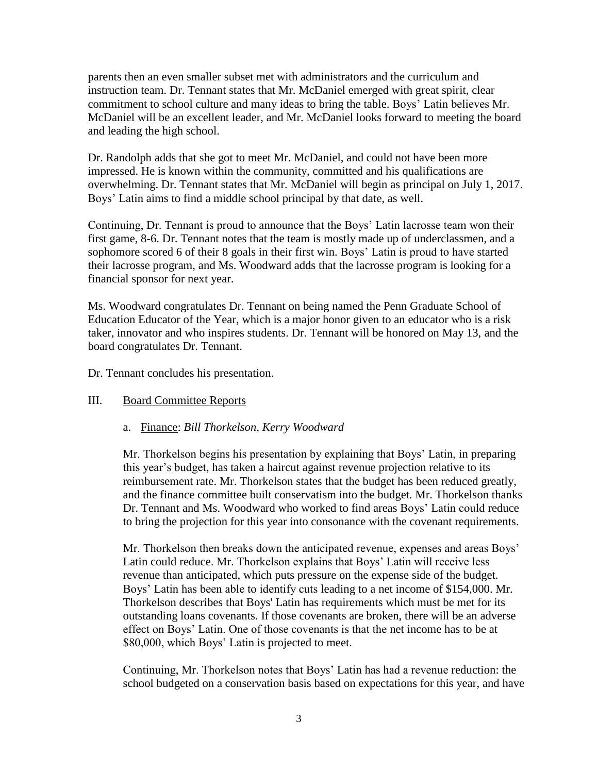parents then an even smaller subset met with administrators and the curriculum and instruction team. Dr. Tennant states that Mr. McDaniel emerged with great spirit, clear commitment to school culture and many ideas to bring the table. Boys' Latin believes Mr. McDaniel will be an excellent leader, and Mr. McDaniel looks forward to meeting the board and leading the high school.

Dr. Randolph adds that she got to meet Mr. McDaniel, and could not have been more impressed. He is known within the community, committed and his qualifications are overwhelming. Dr. Tennant states that Mr. McDaniel will begin as principal on July 1, 2017. Boys' Latin aims to find a middle school principal by that date, as well.

Continuing, Dr. Tennant is proud to announce that the Boys' Latin lacrosse team won their first game, 8-6. Dr. Tennant notes that the team is mostly made up of underclassmen, and a sophomore scored 6 of their 8 goals in their first win. Boys' Latin is proud to have started their lacrosse program, and Ms. Woodward adds that the lacrosse program is looking for a financial sponsor for next year.

Ms. Woodward congratulates Dr. Tennant on being named the Penn Graduate School of Education Educator of the Year, which is a major honor given to an educator who is a risk taker, innovator and who inspires students. Dr. Tennant will be honored on May 13, and the board congratulates Dr. Tennant.

Dr. Tennant concludes his presentation.

# III. Board Committee Reports

## a. Finance: *Bill Thorkelson, Kerry Woodward*

Mr. Thorkelson begins his presentation by explaining that Boys' Latin, in preparing this year's budget, has taken a haircut against revenue projection relative to its reimbursement rate. Mr. Thorkelson states that the budget has been reduced greatly, and the finance committee built conservatism into the budget. Mr. Thorkelson thanks Dr. Tennant and Ms. Woodward who worked to find areas Boys' Latin could reduce to bring the projection for this year into consonance with the covenant requirements.

Mr. Thorkelson then breaks down the anticipated revenue, expenses and areas Boys' Latin could reduce. Mr. Thorkelson explains that Boys' Latin will receive less revenue than anticipated, which puts pressure on the expense side of the budget. Boys' Latin has been able to identify cuts leading to a net income of \$154,000. Mr. Thorkelson describes that Boys' Latin has requirements which must be met for its outstanding loans covenants. If those covenants are broken, there will be an adverse effect on Boys' Latin. One of those covenants is that the net income has to be at \$80,000, which Boys' Latin is projected to meet.

Continuing, Mr. Thorkelson notes that Boys' Latin has had a revenue reduction: the school budgeted on a conservation basis based on expectations for this year, and have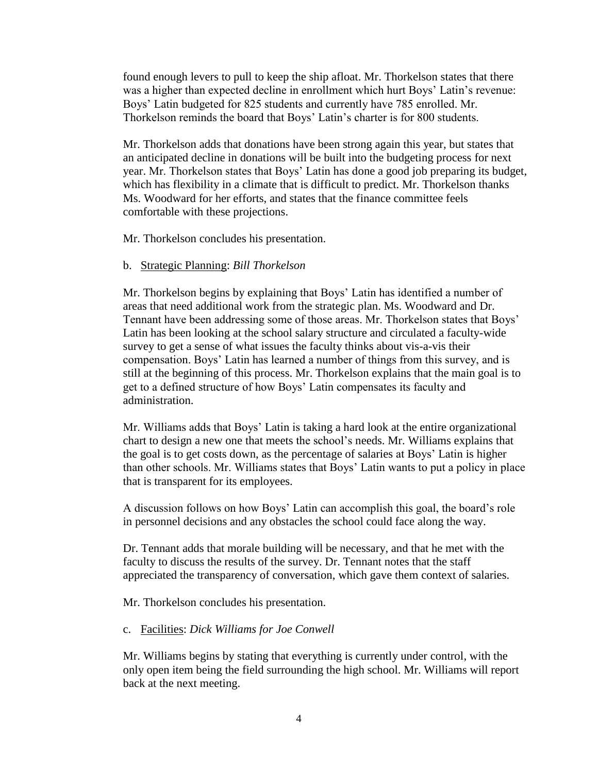found enough levers to pull to keep the ship afloat. Mr. Thorkelson states that there was a higher than expected decline in enrollment which hurt Boys' Latin's revenue: Boys' Latin budgeted for 825 students and currently have 785 enrolled. Mr. Thorkelson reminds the board that Boys' Latin's charter is for 800 students.

Mr. Thorkelson adds that donations have been strong again this year, but states that an anticipated decline in donations will be built into the budgeting process for next year. Mr. Thorkelson states that Boys' Latin has done a good job preparing its budget, which has flexibility in a climate that is difficult to predict. Mr. Thorkelson thanks Ms. Woodward for her efforts, and states that the finance committee feels comfortable with these projections.

Mr. Thorkelson concludes his presentation.

#### b. Strategic Planning: *Bill Thorkelson*

Mr. Thorkelson begins by explaining that Boys' Latin has identified a number of areas that need additional work from the strategic plan. Ms. Woodward and Dr. Tennant have been addressing some of those areas. Mr. Thorkelson states that Boys' Latin has been looking at the school salary structure and circulated a faculty-wide survey to get a sense of what issues the faculty thinks about vis-a-vis their compensation. Boys' Latin has learned a number of things from this survey, and is still at the beginning of this process. Mr. Thorkelson explains that the main goal is to get to a defined structure of how Boys' Latin compensates its faculty and administration.

Mr. Williams adds that Boys' Latin is taking a hard look at the entire organizational chart to design a new one that meets the school's needs. Mr. Williams explains that the goal is to get costs down, as the percentage of salaries at Boys' Latin is higher than other schools. Mr. Williams states that Boys' Latin wants to put a policy in place that is transparent for its employees.

A discussion follows on how Boys' Latin can accomplish this goal, the board's role in personnel decisions and any obstacles the school could face along the way.

Dr. Tennant adds that morale building will be necessary, and that he met with the faculty to discuss the results of the survey. Dr. Tennant notes that the staff appreciated the transparency of conversation, which gave them context of salaries.

Mr. Thorkelson concludes his presentation.

### c. Facilities: *Dick Williams for Joe Conwell*

Mr. Williams begins by stating that everything is currently under control, with the only open item being the field surrounding the high school. Mr. Williams will report back at the next meeting.